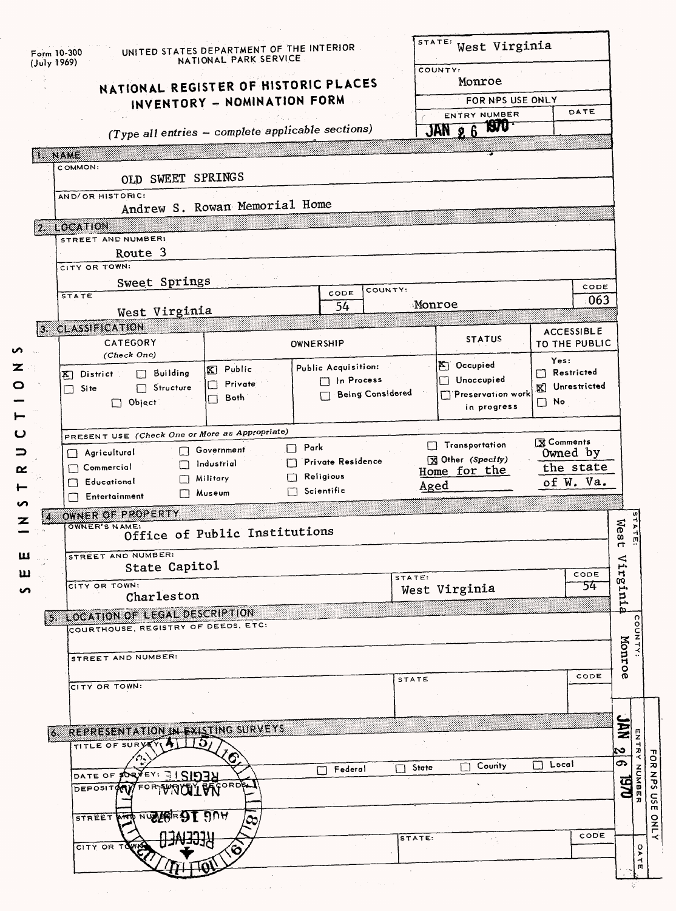|                |             | Form 10-300                                    | UNITED STATES DEPARTMENT OF THE INTERIOR<br>NATIONAL PARK SERVICE |                                  | STATE:      | West Virginia                           |                           |                      |  |  |
|----------------|-------------|------------------------------------------------|-------------------------------------------------------------------|----------------------------------|-------------|-----------------------------------------|---------------------------|----------------------|--|--|
|                | (July 1969) |                                                |                                                                   |                                  |             | COUNTY:                                 |                           |                      |  |  |
|                |             | NATIONAL REGISTER OF HISTORIC PLACES           |                                                                   |                                  |             | Monroe                                  |                           |                      |  |  |
|                |             |                                                | INVENTORY - NOMINATION FORM                                       |                                  |             | FOR NPS USE ONLY<br>ENTRY NUMBER        |                           | DATE                 |  |  |
|                |             |                                                | (Type all entries - complete applicable sections)                 |                                  |             | <b>ISTU</b><br>$JAN$ $2.6$              |                           |                      |  |  |
|                |             |                                                |                                                                   |                                  |             |                                         |                           |                      |  |  |
|                |             | <b>I. NAME</b>                                 |                                                                   |                                  |             |                                         |                           |                      |  |  |
|                |             | COMMON:<br>OLD SWEET SPRINGS                   |                                                                   |                                  |             |                                         |                           |                      |  |  |
|                |             | AND/OR HISTORIC:                               |                                                                   |                                  |             |                                         |                           |                      |  |  |
|                |             |                                                | Andrew S. Rowan Memorial Home                                     |                                  |             |                                         |                           |                      |  |  |
|                |             | 2.10CATION                                     |                                                                   |                                  |             |                                         |                           |                      |  |  |
|                |             | STREET AND NUMBER:<br>Route 3                  |                                                                   |                                  |             |                                         |                           |                      |  |  |
|                |             | CITY OR TOWN:                                  |                                                                   |                                  |             |                                         |                           |                      |  |  |
|                |             | Sweet Springs                                  |                                                                   |                                  |             |                                         |                           | CODE                 |  |  |
|                |             | <b>STATE</b>                                   |                                                                   | COUNTY:<br>CODE                  | Monroe      |                                         |                           | 063                  |  |  |
|                |             | West Virginia                                  |                                                                   | 54                               |             |                                         |                           |                      |  |  |
|                |             | <b>3. CLASSIFICATION</b>                       |                                                                   |                                  |             | <b>STATUS</b>                           | <b>ACCESSIBLE</b>         |                      |  |  |
|                |             | CATEGORY<br>(Check One)                        |                                                                   | OWNERSHIP                        |             |                                         | <b>TO THE PUBLIC</b>      |                      |  |  |
| $\mathbf{z}$ . |             | $\Box$ Building<br><b>X</b> District           | X Public                                                          | Public Acquisition:              |             | <b>K</b> Occupied                       | Yes:<br>$\Box$ Restricted |                      |  |  |
|                |             | Structure<br>Site                              | <b>Private</b><br>$\Box$                                          | n Process                        |             | $\Box$ Unoccupied                       | [8] Unrestricted          |                      |  |  |
|                |             | $\Box$ Object:                                 | Both<br>$\Box$                                                    | <b>Being Considered</b>          |             | $\Box$ Preservation work<br>in progress | $\Box$ No                 |                      |  |  |
|                |             |                                                |                                                                   |                                  |             |                                         |                           |                      |  |  |
|                |             | PRESENT USE (Check One or More as Appropriate) |                                                                   |                                  |             | Transportation                          | <b>X</b> Comments         |                      |  |  |
| ⊐              |             | Agricultural<br>- 11                           | Government                                                        | $\Box$ Park<br>Private Residence |             | X Other (Specify)                       | Owned by                  |                      |  |  |
| œ              |             | Commercial                                     | Industrial<br>Military<br>ΕL                                      | Religious                        |             | Home for the                            | the state                 |                      |  |  |
|                |             | Educational<br>Entertainment                   | Museum                                                            | Scientific                       | Aged        |                                         | of W. Va.                 |                      |  |  |
| n              |             | OWNER OF PROPERTY                              |                                                                   |                                  |             |                                         |                           |                      |  |  |
| z              | Z.          | OWNER'S NAME:                                  | Office of Public Institutions                                     |                                  |             |                                         |                           | Wes                  |  |  |
|                |             |                                                |                                                                   |                                  |             |                                         |                           | 4                    |  |  |
| ш              |             | STREET AND NUMBER:<br>State Capitol            |                                                                   |                                  |             |                                         |                           | ⊲<br>μ.              |  |  |
| ய              |             | CITY OR TOWN:                                  |                                                                   |                                  | STATE:      |                                         |                           | refni.<br>CODE<br>54 |  |  |
| n              |             | Charleston                                     |                                                                   |                                  |             | West Virginia                           |                           |                      |  |  |
|                |             | <b>5. LOCATION OF LEGAL DESCRIPTION</b>        |                                                                   |                                  |             |                                         |                           |                      |  |  |
|                |             | COURTHOUSE, REGISTRY OF DEEDS, ETC:            |                                                                   |                                  |             |                                         |                           |                      |  |  |
|                |             |                                                |                                                                   |                                  |             |                                         |                           | Monroe               |  |  |
|                |             | STREET AND NUMBER:                             |                                                                   |                                  |             |                                         |                           |                      |  |  |
|                |             | CITY OR TOWN:                                  |                                                                   |                                  | STATE       |                                         |                           | CODE                 |  |  |
|                |             |                                                |                                                                   |                                  |             |                                         |                           |                      |  |  |
|                |             |                                                |                                                                   |                                  |             |                                         |                           |                      |  |  |
|                |             | 6 REPRESENTATION IN EXISTING SURVEYS           |                                                                   |                                  |             |                                         |                           | NAC                  |  |  |
|                |             |                                                |                                                                   |                                  |             |                                         |                           | ಬ                    |  |  |
|                |             | -ə<br>TITLE OF SURY                            |                                                                   |                                  |             |                                         |                           |                      |  |  |
|                |             |                                                |                                                                   | $\Box$ Federal                   | State<br>Γł | <b>County</b>                           | $\Box$ Local              | ය                    |  |  |
|                |             | DATE OF SORVEY: 31 SIDAN<br><b>DEPOSITOM</b>   | ORDSL                                                             |                                  |             |                                         |                           |                      |  |  |
|                |             |                                                |                                                                   |                                  |             |                                         |                           | <b>SA</b>            |  |  |
|                |             | NUALSE<br><b>STREET AND</b>                    | <b>DUA</b><br>/೦೦                                                 |                                  |             |                                         |                           |                      |  |  |
|                |             |                                                |                                                                   |                                  | STATE:      |                                         |                           | CODE                 |  |  |
|                |             | CITY OR TO                                     |                                                                   |                                  |             |                                         |                           |                      |  |  |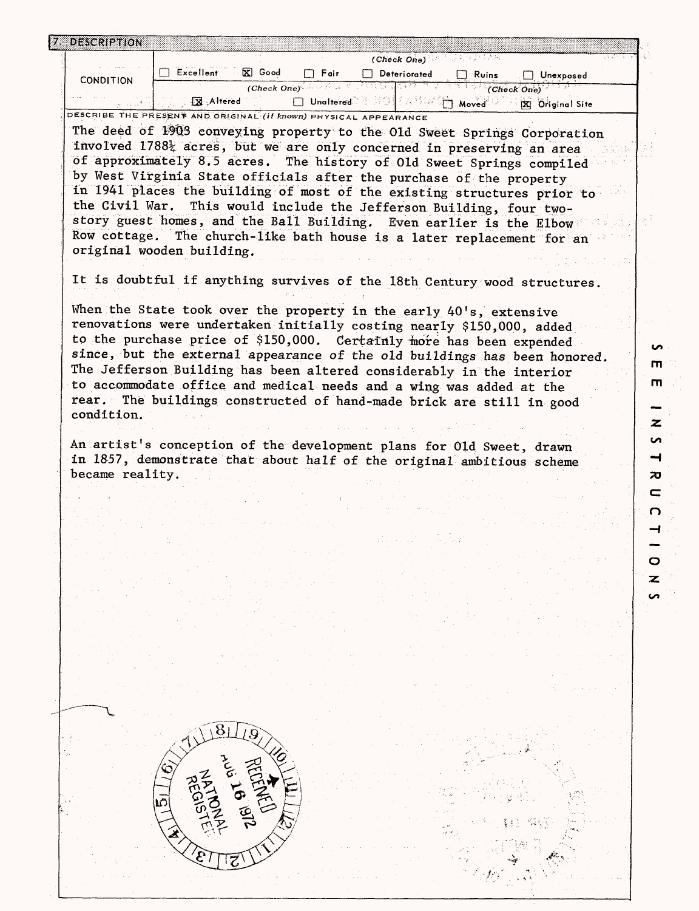| <b>DESCRIPTION</b> | (Check One) $\mathbb{R}^n$ and $\mathbb{R}^n$                                                                                                  |
|--------------------|------------------------------------------------------------------------------------------------------------------------------------------------|
|                    | $\overline{\mathbf{X}}$ Good<br><b>Excellent</b><br>$\Box$ Fair<br>Deteriorated<br>$\Box$ Ruins<br>$\Box$ Unexposed                            |
| <b>CONDITION</b>   | $(C \text{heck One})$<br>(Check' One)                                                                                                          |
|                    | <b>X</b> Altered<br>□ Unaltered → BOL(AMPA) Moved<br>X Original Site                                                                           |
|                    | DESCRIBE THE PRESENT AND ORIGINAL <i>(If known)</i> PHYSICAL APPEARANCE                                                                        |
|                    | The deed of 1903 conveying property to the Old Sweet Springs Corporation                                                                       |
|                    | involved 1788% acres, but we are only concerned in preserving an area                                                                          |
|                    | of approximately 8.5 acres. The history of 01d Sweet Springs compiled                                                                          |
|                    | by West Virginia State officials after the purchase of the property<br>in 1941 places the building of most of the existing structures prior to |
| the Civil War.     | This would include the Jefferson Building, four two-                                                                                           |
|                    | story guest homes, and the Ball Building. Even earlier is the Elbow                                                                            |
|                    | Row cottage. The church-like bath house is a later replacement for an                                                                          |
|                    | original wooden building.                                                                                                                      |
|                    |                                                                                                                                                |
|                    | It is doubtful if anything survives of the 18th Century wood structures.                                                                       |
|                    | When the State took over the property in the early 40's, extensive                                                                             |
|                    | renovations were undertaken initially costing nearly \$150,000, added                                                                          |
|                    | to the purchase price of \$150,000. Certainly more has been expended                                                                           |
|                    | since, but the external appearance of the old buildings has been honored.                                                                      |
|                    | The Jefferson Building has been altered considerably in the interior                                                                           |
|                    | to accommodate office and medical needs and a wing was added at the                                                                            |
|                    | rear. The buildings constructed of hand-made brick are still in good                                                                           |
| condition.         |                                                                                                                                                |
|                    | An artist's conception of the development plans for Old Sweet, drawn<br>in 1857, demonstrate that about half of the original ambitious scheme  |
| became reality.    |                                                                                                                                                |
|                    |                                                                                                                                                |
|                    |                                                                                                                                                |
|                    |                                                                                                                                                |
|                    |                                                                                                                                                |
|                    |                                                                                                                                                |
|                    |                                                                                                                                                |
|                    |                                                                                                                                                |
|                    |                                                                                                                                                |
|                    |                                                                                                                                                |
|                    |                                                                                                                                                |
|                    |                                                                                                                                                |
|                    |                                                                                                                                                |
|                    |                                                                                                                                                |
|                    |                                                                                                                                                |
|                    |                                                                                                                                                |
|                    |                                                                                                                                                |
|                    |                                                                                                                                                |
|                    |                                                                                                                                                |
|                    |                                                                                                                                                |
|                    |                                                                                                                                                |
|                    |                                                                                                                                                |
|                    | RECENTLY                                                                                                                                       |
|                    | <b>AV 16 1972</b>                                                                                                                              |
|                    |                                                                                                                                                |
|                    |                                                                                                                                                |
|                    |                                                                                                                                                |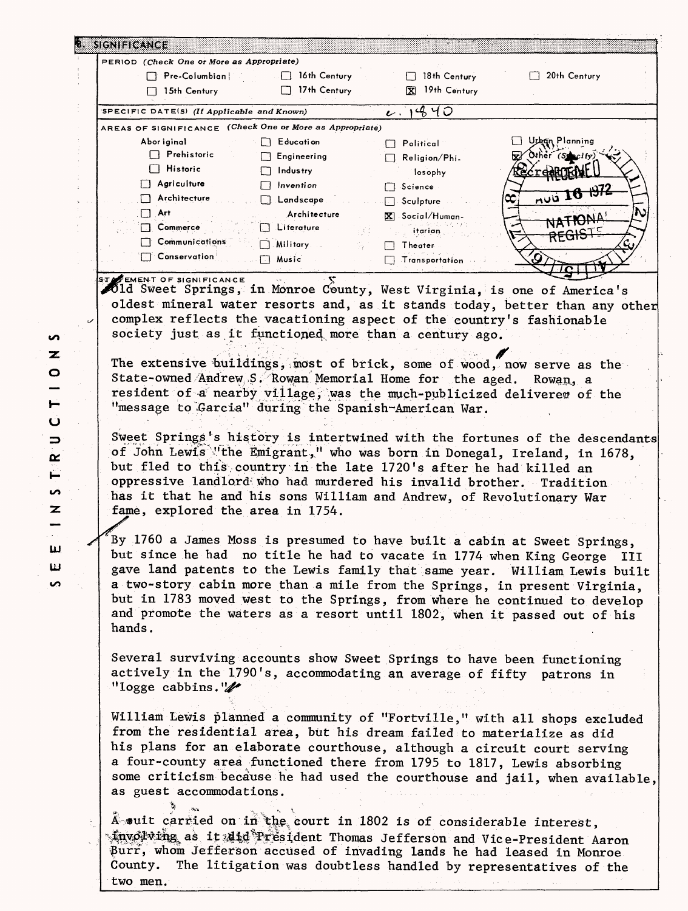|                                                                                                                                                                                                                                                                                                                                   | PERIOD (Check One or More as Appropriate) |                                |                                                                                                                                                                                                                                                                                                                |
|-----------------------------------------------------------------------------------------------------------------------------------------------------------------------------------------------------------------------------------------------------------------------------------------------------------------------------------|-------------------------------------------|--------------------------------|----------------------------------------------------------------------------------------------------------------------------------------------------------------------------------------------------------------------------------------------------------------------------------------------------------------|
| $\Box$ Pre-Columbian                                                                                                                                                                                                                                                                                                              | $\Box$ 16th Century                       | $\Box$ 18th Century            | $\Box$ 20th Century                                                                                                                                                                                                                                                                                            |
| $\Box$ 15th Century                                                                                                                                                                                                                                                                                                               | 17th Century                              | X 19th Century                 |                                                                                                                                                                                                                                                                                                                |
| SPECIFIC DATE(S) (If Applicable and Known)                                                                                                                                                                                                                                                                                        |                                           | 1440<br>$\boldsymbol{\iota}$ . |                                                                                                                                                                                                                                                                                                                |
| AREAS OF SIGNIFICANCE (Check One or More as Appropriate)                                                                                                                                                                                                                                                                          |                                           |                                |                                                                                                                                                                                                                                                                                                                |
| Abor iginal                                                                                                                                                                                                                                                                                                                       | $\Box$ Education                          | $\Box$ Political               | Urban Planning                                                                                                                                                                                                                                                                                                 |
| $\Box$ Prehistoric                                                                                                                                                                                                                                                                                                                | $\Box$ Engineering                        | $\Box$ Religion/Phi.           | $\mathbf{z}$ Other (Specify)                                                                                                                                                                                                                                                                                   |
| $\Box$ Historic                                                                                                                                                                                                                                                                                                                   | $\Box$ Industry                           | losophy                        | <u>Recreditioni</u>                                                                                                                                                                                                                                                                                            |
| $\Box$ Agriculture                                                                                                                                                                                                                                                                                                                | $\Box$ Invention                          |                                |                                                                                                                                                                                                                                                                                                                |
| $\Box$ Architecture                                                                                                                                                                                                                                                                                                               | Landscape                                 | $\Box$ Science.                | <u>AULI 16 1972</u>                                                                                                                                                                                                                                                                                            |
| $\Box$ Art                                                                                                                                                                                                                                                                                                                        | Architecture                              | $\Box$ Sculpture               |                                                                                                                                                                                                                                                                                                                |
| $\Box$ Commerce                                                                                                                                                                                                                                                                                                                   | $\Box$ Literature                         | $\mathbf{X}$ Social/Human-     | NATIONA!                                                                                                                                                                                                                                                                                                       |
| $\Box$ Communications                                                                                                                                                                                                                                                                                                             | 93                                        | itarian                        | REGISTE                                                                                                                                                                                                                                                                                                        |
| $\Box$ Conservation                                                                                                                                                                                                                                                                                                               | $\Box$ Military                           | Theater                        |                                                                                                                                                                                                                                                                                                                |
|                                                                                                                                                                                                                                                                                                                                   | $\Box$ Music                              | Transportation                 |                                                                                                                                                                                                                                                                                                                |
| STATEMENT OF SIGNIFICANCE                                                                                                                                                                                                                                                                                                         |                                           |                                |                                                                                                                                                                                                                                                                                                                |
| bild Sweet Springs, in Monroe County, West Virginia, is one of America's                                                                                                                                                                                                                                                          |                                           |                                |                                                                                                                                                                                                                                                                                                                |
|                                                                                                                                                                                                                                                                                                                                   |                                           |                                | oldest mineral water resorts and, as it stands today, better than any other                                                                                                                                                                                                                                    |
| complex reflects the vacationing aspect of the country's fashionable                                                                                                                                                                                                                                                              |                                           |                                |                                                                                                                                                                                                                                                                                                                |
| society just as it functioned more than a century ago.                                                                                                                                                                                                                                                                            |                                           |                                |                                                                                                                                                                                                                                                                                                                |
|                                                                                                                                                                                                                                                                                                                                   |                                           |                                |                                                                                                                                                                                                                                                                                                                |
| The extensive buildings, most of brick, some of wood, now serve as the                                                                                                                                                                                                                                                            |                                           |                                |                                                                                                                                                                                                                                                                                                                |
| State-owned Andrew S. Rowan Memorial Home for the aged.                                                                                                                                                                                                                                                                           |                                           |                                | Rowan, a                                                                                                                                                                                                                                                                                                       |
| resident of a nearby village, was the much-publicized delivered of the                                                                                                                                                                                                                                                            |                                           |                                |                                                                                                                                                                                                                                                                                                                |
| "message to Garcia" during the Spanish-American War.                                                                                                                                                                                                                                                                              |                                           |                                |                                                                                                                                                                                                                                                                                                                |
|                                                                                                                                                                                                                                                                                                                                   |                                           |                                |                                                                                                                                                                                                                                                                                                                |
| of John Lewis "the Emigrant," who was born in Donegal, Ireland, in 1678,<br>but fled to this country in the late 1720's after he had killed an<br>oppressive landlord who had murdered his invalid brother. Tradition<br>has it that he and his sons William and Andrew, of Revolutionary War<br>fame, explored the area in 1754. |                                           |                                |                                                                                                                                                                                                                                                                                                                |
|                                                                                                                                                                                                                                                                                                                                   |                                           |                                |                                                                                                                                                                                                                                                                                                                |
| By 1760 a James Moss is presumed to have built a cabin at Sweet Springs,<br>and promote the waters as a resort until 1802, when it passed out of his<br>hands.                                                                                                                                                                    |                                           |                                | but since he had no title he had to vacate in 1774 when King George III<br>gave land patents to the Lewis family that same year. William Lewis built<br>a two-story cabin more than a mile from the Springs, in present Virginia,<br>but in 1783 moved west to the Springs, from where he continued to develop |
|                                                                                                                                                                                                                                                                                                                                   |                                           |                                |                                                                                                                                                                                                                                                                                                                |
| Several surviving accounts show Sweet Springs to have been functioning<br>actively in the 1790's, accommodating an average of fifty patrons in                                                                                                                                                                                    |                                           |                                |                                                                                                                                                                                                                                                                                                                |
| "logge cabbins." $\mathscr{U}$                                                                                                                                                                                                                                                                                                    |                                           |                                |                                                                                                                                                                                                                                                                                                                |
|                                                                                                                                                                                                                                                                                                                                   |                                           |                                |                                                                                                                                                                                                                                                                                                                |
|                                                                                                                                                                                                                                                                                                                                   |                                           |                                | William Lewis planned a community of "Fortville," with all shops excluded                                                                                                                                                                                                                                      |
| from the residential area, but his dream failed to materialize as did                                                                                                                                                                                                                                                             |                                           |                                |                                                                                                                                                                                                                                                                                                                |
|                                                                                                                                                                                                                                                                                                                                   |                                           |                                |                                                                                                                                                                                                                                                                                                                |
| his plans for an elaborate courthouse, although a circuit court serving                                                                                                                                                                                                                                                           |                                           |                                |                                                                                                                                                                                                                                                                                                                |
| a four-county area functioned there from 1795 to 1817, Lewis absorbing                                                                                                                                                                                                                                                            |                                           |                                |                                                                                                                                                                                                                                                                                                                |
|                                                                                                                                                                                                                                                                                                                                   |                                           |                                |                                                                                                                                                                                                                                                                                                                |
| some criticism because he had used the courthouse and jail, when available,                                                                                                                                                                                                                                                       |                                           |                                |                                                                                                                                                                                                                                                                                                                |
| as guest accommodations.                                                                                                                                                                                                                                                                                                          |                                           |                                |                                                                                                                                                                                                                                                                                                                |
|                                                                                                                                                                                                                                                                                                                                   |                                           |                                |                                                                                                                                                                                                                                                                                                                |
| A suit carried on in the court in 1802 is of considerable interest,<br>° tnvolving as it alid President Thomas Jefferson and Vice-President Aaron                                                                                                                                                                                 |                                           |                                |                                                                                                                                                                                                                                                                                                                |

 $\circ$  $\overline{\phantom{0}}$  $\vdash$  $\ddot{\mathbf{C}}$  $\Rightarrow$ o:  $\sum_{i=1}^{n}$  $\overline{a}$  $\overline{\mathbf{z}}$  $\frac{1}{\sqrt{2}}$ **LLJ**  $\pmb{\pmb{\omega}}$ 

 $\overline{a}$ 

 $\bullet$  $\overline{\mathbf{z}}$ 

two men.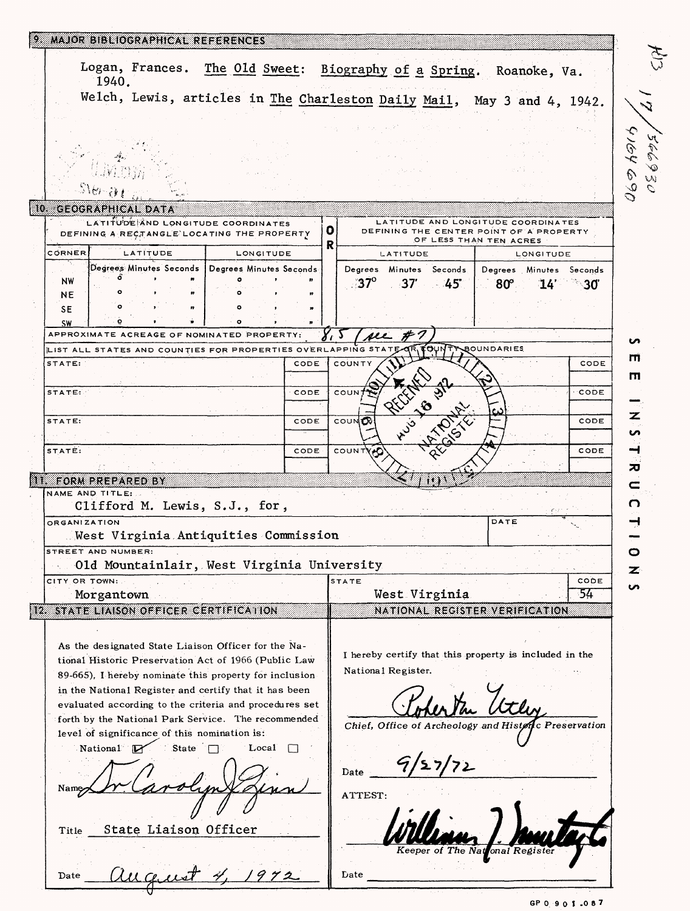|               | 1940.                                  |                                              | Logan, Frances. The Old Sweet: Biography of a Spring. Roanoke, Va.                                          |        |                 |                         |                                                                   |           |                |
|---------------|----------------------------------------|----------------------------------------------|-------------------------------------------------------------------------------------------------------------|--------|-----------------|-------------------------|-------------------------------------------------------------------|-----------|----------------|
|               |                                        |                                              | Welch, Lewis, articles in The Charleston Daily Mail, May 3 and 4, 1942.                                     |        |                 |                         |                                                                   |           |                |
|               |                                        |                                              |                                                                                                             |        |                 |                         |                                                                   |           |                |
|               |                                        |                                              |                                                                                                             |        |                 |                         |                                                                   |           |                |
|               |                                        |                                              |                                                                                                             |        |                 |                         |                                                                   |           |                |
|               |                                        |                                              |                                                                                                             |        |                 |                         |                                                                   |           |                |
|               |                                        |                                              |                                                                                                             |        |                 |                         |                                                                   |           |                |
|               | 10 GEOGRAPHICAL DATA                   |                                              |                                                                                                             |        |                 |                         |                                                                   |           |                |
|               |                                        |                                              | LATITUDE AND LONGITUDE COORDINATES                                                                          |        |                 |                         | LATITUDE AND LONGITUDE COORDINATES                                |           |                |
|               |                                        |                                              | DEFINING A RECTANGLE LOCATING THE PROPERTY                                                                  |        | o<br>R          |                         | DEFINING THE CENTER POINT OF A PROPERTY<br>OF LESS THAN TEN ACRES |           |                |
| CORNER        |                                        | LATITUDE                                     | LONGITUDE                                                                                                   |        |                 | LATITUDE                |                                                                   | LONGITUDE |                |
| NW            |                                        |                                              | Degrees Minutes Seconds   Degrees Minutes Seconds                                                           |        | $37^\circ$      | Degrees Minutes Seconds | Degrees Minutes Seconds                                           |           |                |
| NΕ            |                                        |                                              |                                                                                                             |        |                 | $37 - 45$               | 80°.                                                              |           | $14'$ 30       |
| SE            |                                        |                                              |                                                                                                             |        |                 |                         |                                                                   |           |                |
| SW            |                                        |                                              | APPROXIMATE ACREAGE OF NOMINATED PROPERTY                                                                   |        |                 |                         |                                                                   |           |                |
|               |                                        |                                              | LIST ALL STATES AND COUNTIES FOR PROPERTIES OVER                                                            |        | see<br>APPING S |                         | <b>OUNTY BOUNDARIES</b>                                           |           |                |
| STATE:        |                                        |                                              |                                                                                                             | CODE   | COUNTY          |                         |                                                                   |           | CODE           |
|               |                                        |                                              |                                                                                                             |        |                 |                         |                                                                   |           |                |
| STATE:        |                                        |                                              |                                                                                                             | CODE   | COUN            |                         |                                                                   |           | CODE           |
| STATE:        |                                        |                                              |                                                                                                             | CODE   | COUND           |                         |                                                                   |           | CODE           |
|               |                                        |                                              |                                                                                                             |        |                 | <b>31.50</b>            |                                                                   |           |                |
| STATE:        |                                        |                                              |                                                                                                             | CODE   | COUNTYAC        |                         |                                                                   |           | CODE           |
|               |                                        |                                              |                                                                                                             |        |                 |                         |                                                                   |           |                |
|               | 11 FORM PREPARED BY<br>NAME AND TITLE: |                                              |                                                                                                             |        |                 |                         |                                                                   |           |                |
|               |                                        |                                              | Clifford M. Lewis, S.J., for,                                                                               |        |                 |                         |                                                                   |           |                |
|               | ORGANIZATION                           |                                              |                                                                                                             |        |                 |                         | DATE                                                              |           |                |
|               |                                        |                                              | West Virginia Antiquities Commission                                                                        |        |                 |                         |                                                                   |           |                |
|               | STREET AND NUMBER:                     |                                              |                                                                                                             |        |                 |                         |                                                                   |           |                |
|               |                                        |                                              | Old Mountainlair, West Virginia University                                                                  |        |                 |                         |                                                                   |           |                |
|               |                                        |                                              |                                                                                                             |        |                 |                         |                                                                   |           |                |
|               |                                        |                                              |                                                                                                             |        | STATE           |                         |                                                                   |           | CODE<br>-54    |
|               | Morgantown                             |                                              |                                                                                                             |        |                 | West Virginia           |                                                                   |           |                |
| CITY OR TOWN: |                                        |                                              | 12 STATE LIAISON OFFICER CERTIFICATION                                                                      |        |                 |                         | NATIONAL REGISTER VERIFICATION                                    |           |                |
|               |                                        |                                              |                                                                                                             |        |                 |                         |                                                                   |           |                |
|               |                                        |                                              | As the designated State Liaison Officer for the Na-<br>tional Historic Preservation Act of 1966 (Public Law |        |                 |                         | I hereby certify that this property is included in the            |           |                |
|               |                                        |                                              | 89-665), I hereby nominate this property for inclusion                                                      |        |                 | National Register.      |                                                                   |           |                |
|               |                                        |                                              | in the National Register and certify that it has been                                                       |        |                 |                         |                                                                   |           |                |
|               |                                        |                                              | evaluated according to the criteria and procedures set                                                      |        |                 |                         |                                                                   |           |                |
|               |                                        |                                              | forth by the National Park Service. The recommended                                                         |        |                 |                         | Chief, Office of Archeology and Histø                             |           | c Preservation |
|               |                                        | level of significance of this nomination is: |                                                                                                             |        |                 |                         |                                                                   |           |                |
|               | National $\mathbb{R}$                  | State $\Box$                                 | Local                                                                                                       | $\Box$ |                 |                         |                                                                   |           |                |
|               |                                        |                                              |                                                                                                             |        | Date            |                         |                                                                   |           |                |
|               |                                        |                                              |                                                                                                             |        | ATTEST:         |                         |                                                                   |           |                |
|               |                                        |                                              |                                                                                                             |        |                 |                         |                                                                   |           |                |
|               |                                        |                                              |                                                                                                             |        |                 |                         |                                                                   |           |                |
| Title         |                                        | State Liaison Officer                        |                                                                                                             |        |                 |                         |                                                                   |           |                |
|               |                                        |                                              |                                                                                                             |        |                 |                         | onal Register                                                     |           |                |